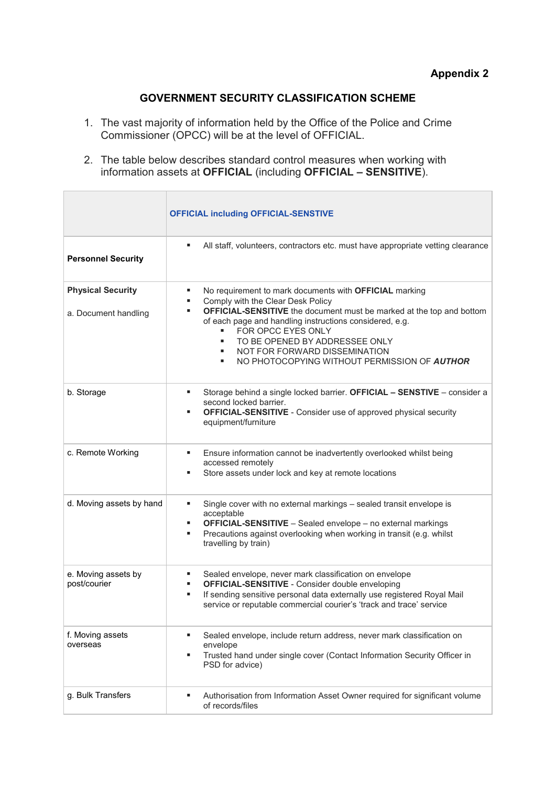## **GOVERNMENT SECURITY CLASSIFICATION SCHEME**

- 1. The vast majority of information held by the Office of the Police and Crime Commissioner (OPCC) will be at the level of OFFICIAL.
- 2. The table below describes standard control measures when working with information assets at **OFFICIAL** (including **OFFICIAL – SENSITIVE**).

|                                                  | <b>OFFICIAL including OFFICIAL-SENSTIVE</b>                                                                                                                                                                                                                                                                                                                                                                       |
|--------------------------------------------------|-------------------------------------------------------------------------------------------------------------------------------------------------------------------------------------------------------------------------------------------------------------------------------------------------------------------------------------------------------------------------------------------------------------------|
| <b>Personnel Security</b>                        | All staff, volunteers, contractors etc. must have appropriate vetting clearance<br>٠                                                                                                                                                                                                                                                                                                                              |
| <b>Physical Security</b><br>a. Document handling | No requirement to mark documents with OFFICIAL marking<br>٠<br>Comply with the Clear Desk Policy<br>٠<br><b>OFFICIAL-SENSITIVE</b> the document must be marked at the top and bottom<br>٠<br>of each page and handling instructions considered, e.g.<br>FOR OPCC EYES ONLY<br>٠<br>TO BE OPENED BY ADDRESSEE ONLY<br>٠<br>NOT FOR FORWARD DISSEMINATION<br>٠<br>NO PHOTOCOPYING WITHOUT PERMISSION OF AUTHOR<br>٠ |
| b. Storage                                       | Storage behind a single locked barrier. OFFICIAL - SENSTIVE - consider a<br>second locked barrier.<br><b>OFFICIAL-SENSITIVE</b> - Consider use of approved physical security<br>equipment/furniture                                                                                                                                                                                                               |
| c. Remote Working                                | Ensure information cannot be inadvertently overlooked whilst being<br>٠<br>accessed remotely<br>Store assets under lock and key at remote locations<br>٠                                                                                                                                                                                                                                                          |
| d. Moving assets by hand                         | Single cover with no external markings - sealed transit envelope is<br>٠<br>acceptable<br><b>OFFICIAL-SENSITIVE</b> - Sealed envelope - no external markings<br>п<br>Precautions against overlooking when working in transit (e.g. whilst<br>п<br>travelling by train)                                                                                                                                            |
| e. Moving assets by<br>post/courier              | Sealed envelope, never mark classification on envelope<br><b>OFFICIAL-SENSITIVE</b> - Consider double enveloping<br>п<br>If sending sensitive personal data externally use registered Royal Mail<br>٠<br>service or reputable commercial courier's 'track and trace' service                                                                                                                                      |
| f. Moving assets<br>overseas                     | Sealed envelope, include return address, never mark classification on<br>٠<br>envelope<br>Trusted hand under single cover (Contact Information Security Officer in<br>٠<br>PSD for advice)                                                                                                                                                                                                                        |
| g. Bulk Transfers                                | Authorisation from Information Asset Owner required for significant volume<br>٠<br>of records/files                                                                                                                                                                                                                                                                                                               |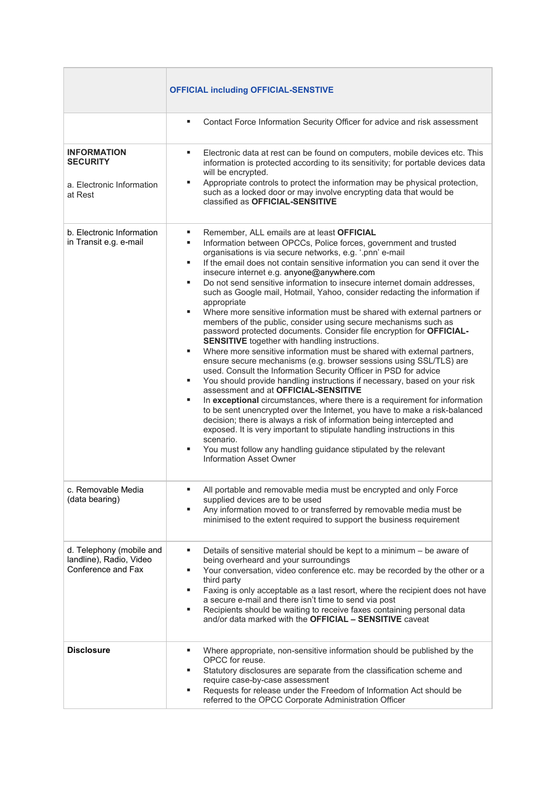|                                                                               | <b>OFFICIAL including OFFICIAL-SENSTIVE</b>                                                                                                                                                                                                                                                                                                                                                                                                                                                                                                                                                                                                                                                                                                                                                                                                                                                                                                                                                                                                                                                                                                                                                                                                                                                                                                                                                                                                                                                                                                                                            |
|-------------------------------------------------------------------------------|----------------------------------------------------------------------------------------------------------------------------------------------------------------------------------------------------------------------------------------------------------------------------------------------------------------------------------------------------------------------------------------------------------------------------------------------------------------------------------------------------------------------------------------------------------------------------------------------------------------------------------------------------------------------------------------------------------------------------------------------------------------------------------------------------------------------------------------------------------------------------------------------------------------------------------------------------------------------------------------------------------------------------------------------------------------------------------------------------------------------------------------------------------------------------------------------------------------------------------------------------------------------------------------------------------------------------------------------------------------------------------------------------------------------------------------------------------------------------------------------------------------------------------------------------------------------------------------|
|                                                                               | Contact Force Information Security Officer for advice and risk assessment<br>٠                                                                                                                                                                                                                                                                                                                                                                                                                                                                                                                                                                                                                                                                                                                                                                                                                                                                                                                                                                                                                                                                                                                                                                                                                                                                                                                                                                                                                                                                                                         |
| <b>INFORMATION</b><br><b>SECURITY</b><br>a. Electronic Information<br>at Rest | Electronic data at rest can be found on computers, mobile devices etc. This<br>٠<br>information is protected according to its sensitivity; for portable devices data<br>will be encrypted.<br>Appropriate controls to protect the information may be physical protection,<br>such as a locked door or may involve encrypting data that would be<br>classified as OFFICIAL-SENSITIVE                                                                                                                                                                                                                                                                                                                                                                                                                                                                                                                                                                                                                                                                                                                                                                                                                                                                                                                                                                                                                                                                                                                                                                                                    |
| b. Electronic Information<br>in Transit e.g. e-mail                           | Remember, ALL emails are at least OFFICIAL<br>٠<br>Information between OPCCs, Police forces, government and trusted<br>٠<br>organisations is via secure networks, e.g. '.pnn' e-mail<br>If the email does not contain sensitive information you can send it over the<br>٠<br>insecure internet e.g. anyone@anywhere.com<br>Do not send sensitive information to insecure internet domain addresses,<br>٠<br>such as Google mail, Hotmail, Yahoo, consider redacting the information if<br>appropriate<br>Where more sensitive information must be shared with external partners or<br>٠<br>members of the public, consider using secure mechanisms such as<br>password protected documents. Consider file encryption for OFFICIAL-<br><b>SENSITIVE</b> together with handling instructions.<br>Where more sensitive information must be shared with external partners,<br>٠<br>ensure secure mechanisms (e.g. browser sessions using SSL/TLS) are<br>used. Consult the Information Security Officer in PSD for advice<br>You should provide handling instructions if necessary, based on your risk<br>٠<br>assessment and at OFFICIAL-SENSITIVE<br>In exceptional circumstances, where there is a requirement for information<br>٠<br>to be sent unencrypted over the Internet, you have to make a risk-balanced<br>decision; there is always a risk of information being intercepted and<br>exposed. It is very important to stipulate handling instructions in this<br>scenario.<br>You must follow any handling guidance stipulated by the relevant<br>٠<br>Information Asset Owner |
| c. Removable Media<br>(data bearing)                                          | All portable and removable media must be encrypted and only Force<br>supplied devices are to be used<br>Any information moved to or transferred by removable media must be<br>٠<br>minimised to the extent required to support the business requirement                                                                                                                                                                                                                                                                                                                                                                                                                                                                                                                                                                                                                                                                                                                                                                                                                                                                                                                                                                                                                                                                                                                                                                                                                                                                                                                                |
| d. Telephony (mobile and<br>landline), Radio, Video<br>Conference and Fax     | Details of sensitive material should be kept to a minimum - be aware of<br>٠<br>being overheard and your surroundings<br>Your conversation, video conference etc. may be recorded by the other or a<br>٠<br>third party<br>Faxing is only acceptable as a last resort, where the recipient does not have<br>٠<br>a secure e-mail and there isn't time to send via post<br>Recipients should be waiting to receive faxes containing personal data<br>٠<br>and/or data marked with the <b>OFFICIAL - SENSITIVE</b> caveat                                                                                                                                                                                                                                                                                                                                                                                                                                                                                                                                                                                                                                                                                                                                                                                                                                                                                                                                                                                                                                                                |
| <b>Disclosure</b>                                                             | Where appropriate, non-sensitive information should be published by the<br>٠<br>OPCC for reuse.<br>Statutory disclosures are separate from the classification scheme and<br>٠<br>require case-by-case assessment<br>Requests for release under the Freedom of Information Act should be<br>٠<br>referred to the OPCC Corporate Administration Officer                                                                                                                                                                                                                                                                                                                                                                                                                                                                                                                                                                                                                                                                                                                                                                                                                                                                                                                                                                                                                                                                                                                                                                                                                                  |